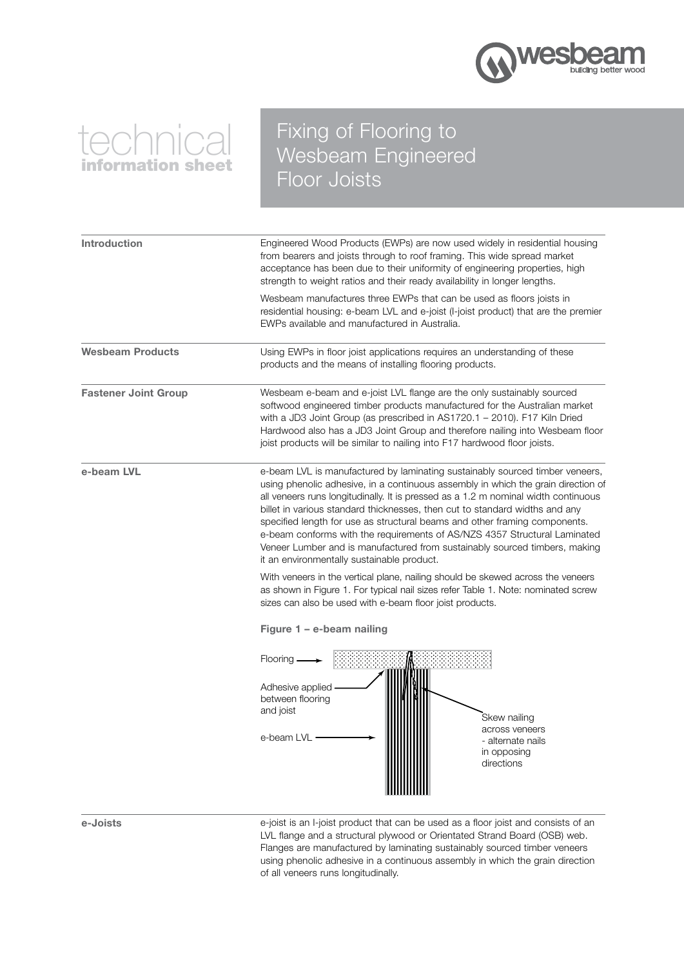

# technical ormation she

## Fixing of Flooring to Wesbeam Engineered Floor Joists

Introduction **Engineered Wood Products (EWPs)** are now used widely in residential housing from bearers and joists through to roof framing. This wide spread market acceptance has been due to their uniformity of engineering properties, high strength to weight ratios and their ready availability in longer lengths. Wesbeam manufactures three EWPs that can be used as floors joists in residential housing: e-beam LVL and e-joist (I-joist product) that are the premier EWPs available and manufactured in Australia. Wesbeam Products Using EWPs in floor joist applications requires an understanding of these products and the means of installing flooring products. Fastener Joint Group Wesbeam e-beam and e-joist LVL flange are the only sustainably sourced softwood engineered timber products manufactured for the Australian market with a JD3 Joint Group (as prescribed in AS1720.1 – 2010). F17 Kiln Dried Hardwood also has a JD3 Joint Group and therefore nailing into Wesbeam floor joist products will be similar to nailing into F17 hardwood floor joists. e-beam LVL e-beam LVL is manufactured by laminating sustainably sourced timber veneers, using phenolic adhesive, in a continuous assembly in which the grain direction of all veneers runs longitudinally. It is pressed as a 1.2 m nominal width continuous billet in various standard thicknesses, then cut to standard widths and any specified length for use as structural beams and other framing components. e-beam conforms with the requirements of AS/NZS 4357 Structural Laminated Veneer Lumber and is manufactured from sustainably sourced timbers, making it an environmentally sustainable product. With veneers in the vertical plane, nailing should be skewed across the veneers as shown in Figure 1. For typical nail sizes refer Table 1. Note: nominated screw sizes can also be used with e-beam floor joist products. Figure 1 – e-beam nailing Skew nailing across veneers - alternate nails in opposing directions Flooring Adhesive applied between flooring and joist e-beam LVL



e-Joists e-joist is an I-joist product that can be used as a floor joist and consists of an LVL flange and a structural plywood or Orientated Strand Board (OSB) web. Flanges are manufactured by laminating sustainably sourced timber veneers using phenolic adhesive in a continuous assembly in which the grain direction of all veneers runs longitudinally.